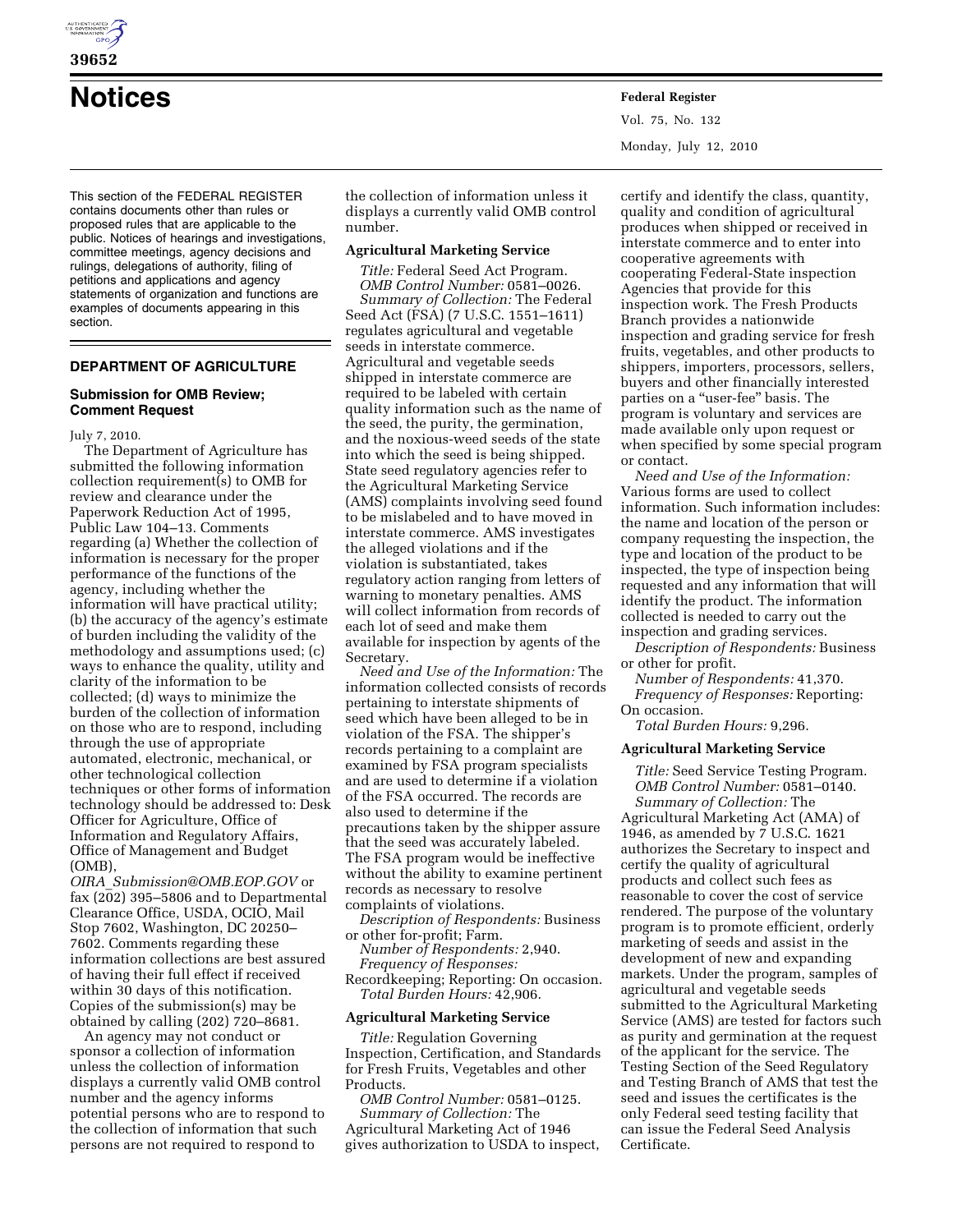

**39652** 

**Notices Federal Register**

This section of the FEDERAL REGISTER contains documents other than rules or proposed rules that are applicable to the public. Notices of hearings and investigations, committee meetings, agency decisions and rulings, delegations of authority, filing of petitions and applications and agency statements of organization and functions are examples of documents appearing in this section.

# **DEPARTMENT OF AGRICULTURE**

#### **Submission for OMB Review; Comment Request**

July 7, 2010.

The Department of Agriculture has submitted the following information collection requirement(s) to OMB for review and clearance under the Paperwork Reduction Act of 1995, Public Law 104–13. Comments regarding (a) Whether the collection of information is necessary for the proper performance of the functions of the agency, including whether the information will have practical utility; (b) the accuracy of the agency's estimate of burden including the validity of the methodology and assumptions used; (c) ways to enhance the quality, utility and clarity of the information to be collected; (d) ways to minimize the burden of the collection of information on those who are to respond, including through the use of appropriate automated, electronic, mechanical, or other technological collection techniques or other forms of information technology should be addressed to: Desk Officer for Agriculture, Office of Information and Regulatory Affairs, Office of Management and Budget (OMB),

*OIRA*\_*Submission@OMB.EOP.GOV* or fax (202) 395–5806 and to Departmental Clearance Office, USDA, OCIO, Mail Stop 7602, Washington, DC 20250– 7602. Comments regarding these information collections are best assured of having their full effect if received within 30 days of this notification. Copies of the submission(s) may be obtained by calling (202) 720–8681.

An agency may not conduct or sponsor a collection of information unless the collection of information displays a currently valid OMB control number and the agency informs potential persons who are to respond to the collection of information that such persons are not required to respond to

the collection of information unless it displays a currently valid OMB control number.

#### **Agricultural Marketing Service**

*Title:* Federal Seed Act Program. *OMB Control Number:* 0581–0026. *Summary of Collection:* The Federal Seed Act (FSA) (7 U.S.C. 1551–1611) regulates agricultural and vegetable seeds in interstate commerce. Agricultural and vegetable seeds shipped in interstate commerce are required to be labeled with certain quality information such as the name of the seed, the purity, the germination, and the noxious-weed seeds of the state into which the seed is being shipped. State seed regulatory agencies refer to the Agricultural Marketing Service (AMS) complaints involving seed found to be mislabeled and to have moved in interstate commerce. AMS investigates the alleged violations and if the violation is substantiated, takes regulatory action ranging from letters of warning to monetary penalties. AMS will collect information from records of each lot of seed and make them available for inspection by agents of the Secretary.

*Need and Use of the Information:* The information collected consists of records pertaining to interstate shipments of seed which have been alleged to be in violation of the FSA. The shipper's records pertaining to a complaint are examined by FSA program specialists and are used to determine if a violation of the FSA occurred. The records are also used to determine if the precautions taken by the shipper assure that the seed was accurately labeled. The FSA program would be ineffective without the ability to examine pertinent records as necessary to resolve complaints of violations.

*Description of Respondents:* Business or other for-profit; Farm.

*Number of Respondents:* 2,940. *Frequency of Responses:* 

Recordkeeping; Reporting: On occasion. *Total Burden Hours:* 42,906.

# **Agricultural Marketing Service**

*Title:* Regulation Governing Inspection, Certification, and Standards for Fresh Fruits, Vegetables and other Products.

*OMB Control Number:* 0581–0125. *Summary of Collection:* The Agricultural Marketing Act of 1946 gives authorization to USDA to inspect,

certify and identify the class, quantity, quality and condition of agricultural produces when shipped or received in interstate commerce and to enter into cooperative agreements with cooperating Federal-State inspection Agencies that provide for this inspection work. The Fresh Products Branch provides a nationwide inspection and grading service for fresh fruits, vegetables, and other products to shippers, importers, processors, sellers, buyers and other financially interested parties on a "user-fee" basis. The program is voluntary and services are made available only upon request or when specified by some special program or contact.

*Need and Use of the Information:*  Various forms are used to collect information. Such information includes: the name and location of the person or company requesting the inspection, the type and location of the product to be inspected, the type of inspection being requested and any information that will identify the product. The information collected is needed to carry out the inspection and grading services.

*Description of Respondents:* Business or other for profit.

*Number of Respondents:* 41,370. *Frequency of Responses:* Reporting: On occasion.

*Total Burden Hours:* 9,296.

### **Agricultural Marketing Service**

*Title:* Seed Service Testing Program. *OMB Control Number:* 0581–0140. *Summary of Collection:* The Agricultural Marketing Act (AMA) of 1946, as amended by 7 U.S.C. 1621 authorizes the Secretary to inspect and certify the quality of agricultural products and collect such fees as reasonable to cover the cost of service rendered. The purpose of the voluntary program is to promote efficient, orderly marketing of seeds and assist in the development of new and expanding markets. Under the program, samples of agricultural and vegetable seeds submitted to the Agricultural Marketing Service (AMS) are tested for factors such as purity and germination at the request of the applicant for the service. The Testing Section of the Seed Regulatory and Testing Branch of AMS that test the seed and issues the certificates is the only Federal seed testing facility that can issue the Federal Seed Analysis Certificate.